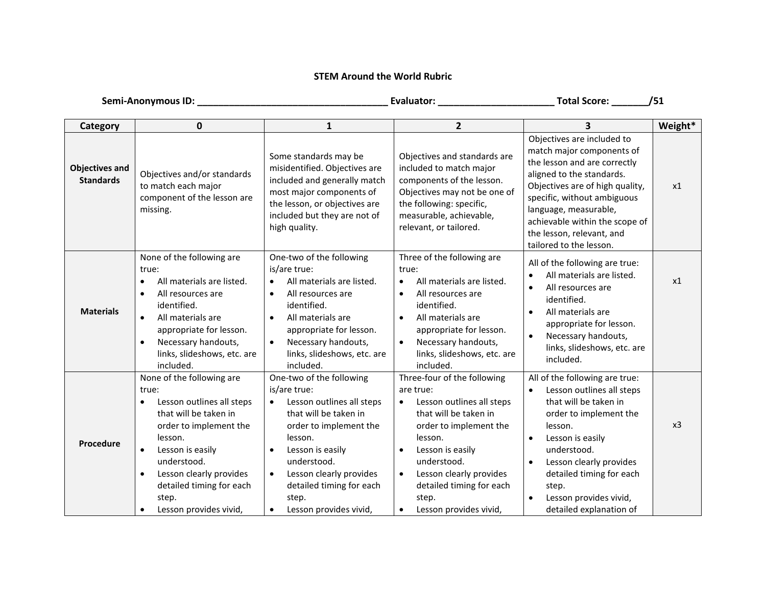## **STEM Around the World Rubric**

| Semi-Anonymous ID:                        |                                                                                                                                                                                                                                                                                                   |                                                                                                                                                                                                                                                                                            | Total Score: _______                                                                                                                                                                                                                                                          | /51                                                                                                                                                                                                                                                                                                       |         |
|-------------------------------------------|---------------------------------------------------------------------------------------------------------------------------------------------------------------------------------------------------------------------------------------------------------------------------------------------------|--------------------------------------------------------------------------------------------------------------------------------------------------------------------------------------------------------------------------------------------------------------------------------------------|-------------------------------------------------------------------------------------------------------------------------------------------------------------------------------------------------------------------------------------------------------------------------------|-----------------------------------------------------------------------------------------------------------------------------------------------------------------------------------------------------------------------------------------------------------------------------------------------------------|---------|
| Category                                  | 0                                                                                                                                                                                                                                                                                                 | $\mathbf{1}$                                                                                                                                                                                                                                                                               | $\overline{2}$                                                                                                                                                                                                                                                                | 3                                                                                                                                                                                                                                                                                                         | Weight* |
| <b>Objectives and</b><br><b>Standards</b> | Objectives and/or standards<br>to match each major<br>component of the lesson are<br>missing.                                                                                                                                                                                                     | Some standards may be<br>misidentified. Objectives are<br>included and generally match<br>most major components of<br>the lesson, or objectives are<br>included but they are not of<br>high quality.                                                                                       | Objectives and standards are<br>included to match major<br>components of the lesson.<br>Objectives may not be one of<br>the following: specific,<br>measurable, achievable,<br>relevant, or tailored.                                                                         | Objectives are included to<br>match major components of<br>the lesson and are correctly<br>aligned to the standards.<br>Objectives are of high quality,<br>specific, without ambiguous<br>language, measurable,<br>achievable within the scope of<br>the lesson, relevant, and<br>tailored to the lesson. | x1      |
| <b>Materials</b>                          | None of the following are<br>true:<br>All materials are listed.<br>All resources are<br>$\bullet$<br>identified.<br>All materials are<br>$\bullet$<br>appropriate for lesson.<br>Necessary handouts,<br>$\bullet$<br>links, slideshows, etc. are<br>included.                                     | One-two of the following<br>is/are true:<br>All materials are listed.<br>All resources are<br>$\bullet$<br>identified.<br>All materials are<br>$\bullet$<br>appropriate for lesson.<br>Necessary handouts,<br>$\bullet$<br>links, slideshows, etc. are<br>included.                        | Three of the following are<br>true:<br>All materials are listed.<br>$\bullet$<br>All resources are<br>$\bullet$<br>identified.<br>All materials are<br>$\bullet$<br>appropriate for lesson.<br>Necessary handouts,<br>$\bullet$<br>links, slideshows, etc. are<br>included.   | All of the following are true:<br>All materials are listed.<br>All resources are<br>$\bullet$<br>identified.<br>All materials are<br>$\bullet$<br>appropriate for lesson.<br>Necessary handouts,<br>links, slideshows, etc. are<br>included.                                                              | x1      |
| Procedure                                 | None of the following are<br>true:<br>Lesson outlines all steps<br>that will be taken in<br>order to implement the<br>lesson.<br>Lesson is easily<br>$\bullet$<br>understood.<br>Lesson clearly provides<br>$\bullet$<br>detailed timing for each<br>step.<br>Lesson provides vivid,<br>$\bullet$ | One-two of the following<br>is/are true:<br>Lesson outlines all steps<br>$\bullet$<br>that will be taken in<br>order to implement the<br>lesson.<br>Lesson is easily<br>understood.<br>Lesson clearly provides<br>$\bullet$<br>detailed timing for each<br>step.<br>Lesson provides vivid, | Three-four of the following<br>are true:<br>Lesson outlines all steps<br>$\bullet$<br>that will be taken in<br>order to implement the<br>lesson.<br>Lesson is easily<br>understood.<br>Lesson clearly provides<br>detailed timing for each<br>step.<br>Lesson provides vivid, | All of the following are true:<br>Lesson outlines all steps<br>that will be taken in<br>order to implement the<br>lesson.<br>Lesson is easily<br>understood.<br>Lesson clearly provides<br>detailed timing for each<br>step.<br>Lesson provides vivid,<br>detailed explanation of                         | x3      |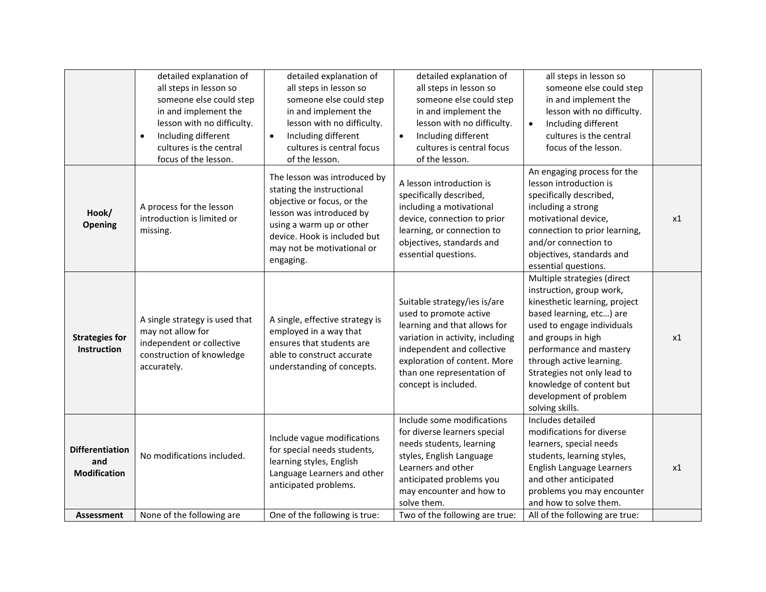|                                                      | detailed explanation of<br>all steps in lesson so<br>someone else could step<br>in and implement the<br>lesson with no difficulty.<br>Including different<br>$\bullet$<br>cultures is the central<br>focus of the lesson. | detailed explanation of<br>all steps in lesson so<br>someone else could step<br>in and implement the<br>lesson with no difficulty.<br>Including different<br>$\bullet$<br>cultures is central focus<br>of the lesson.      | detailed explanation of<br>all steps in lesson so<br>someone else could step<br>in and implement the<br>lesson with no difficulty.<br>Including different<br>$\bullet$<br>cultures is central focus<br>of the lesson.                          | all steps in lesson so<br>someone else could step<br>in and implement the<br>lesson with no difficulty.<br>Including different<br>$\bullet$<br>cultures is the central<br>focus of the lesson.                                                                                                                                          |    |
|------------------------------------------------------|---------------------------------------------------------------------------------------------------------------------------------------------------------------------------------------------------------------------------|----------------------------------------------------------------------------------------------------------------------------------------------------------------------------------------------------------------------------|------------------------------------------------------------------------------------------------------------------------------------------------------------------------------------------------------------------------------------------------|-----------------------------------------------------------------------------------------------------------------------------------------------------------------------------------------------------------------------------------------------------------------------------------------------------------------------------------------|----|
| Hook/<br>Opening                                     | A process for the lesson<br>introduction is limited or<br>missing.                                                                                                                                                        | The lesson was introduced by<br>stating the instructional<br>objective or focus, or the<br>lesson was introduced by<br>using a warm up or other<br>device. Hook is included but<br>may not be motivational or<br>engaging. | A lesson introduction is<br>specifically described,<br>including a motivational<br>device, connection to prior<br>learning, or connection to<br>objectives, standards and<br>essential questions.                                              | An engaging process for the<br>lesson introduction is<br>specifically described,<br>including a strong<br>motivational device,<br>connection to prior learning,<br>and/or connection to<br>objectives, standards and<br>essential questions.                                                                                            | x1 |
| <b>Strategies for</b><br>Instruction                 | A single strategy is used that<br>may not allow for<br>independent or collective<br>construction of knowledge<br>accurately.                                                                                              | A single, effective strategy is<br>employed in a way that<br>ensures that students are<br>able to construct accurate<br>understanding of concepts.                                                                         | Suitable strategy/ies is/are<br>used to promote active<br>learning and that allows for<br>variation in activity, including<br>independent and collective<br>exploration of content. More<br>than one representation of<br>concept is included. | Multiple strategies (direct<br>instruction, group work,<br>kinesthetic learning, project<br>based learning, etc) are<br>used to engage individuals<br>and groups in high<br>performance and mastery<br>through active learning.<br>Strategies not only lead to<br>knowledge of content but<br>development of problem<br>solving skills. | x1 |
| <b>Differentiation</b><br>and<br><b>Modification</b> | No modifications included.                                                                                                                                                                                                | Include vague modifications<br>for special needs students,<br>learning styles, English<br>Language Learners and other<br>anticipated problems.                                                                             | Include some modifications<br>for diverse learners special<br>needs students, learning<br>styles, English Language<br>Learners and other<br>anticipated problems you<br>may encounter and how to<br>solve them.                                | Includes detailed<br>modifications for diverse<br>learners, special needs<br>students, learning styles,<br>English Language Learners<br>and other anticipated<br>problems you may encounter<br>and how to solve them.                                                                                                                   | x1 |
| <b>Assessment</b>                                    | None of the following are                                                                                                                                                                                                 | One of the following is true:                                                                                                                                                                                              | Two of the following are true:                                                                                                                                                                                                                 | All of the following are true:                                                                                                                                                                                                                                                                                                          |    |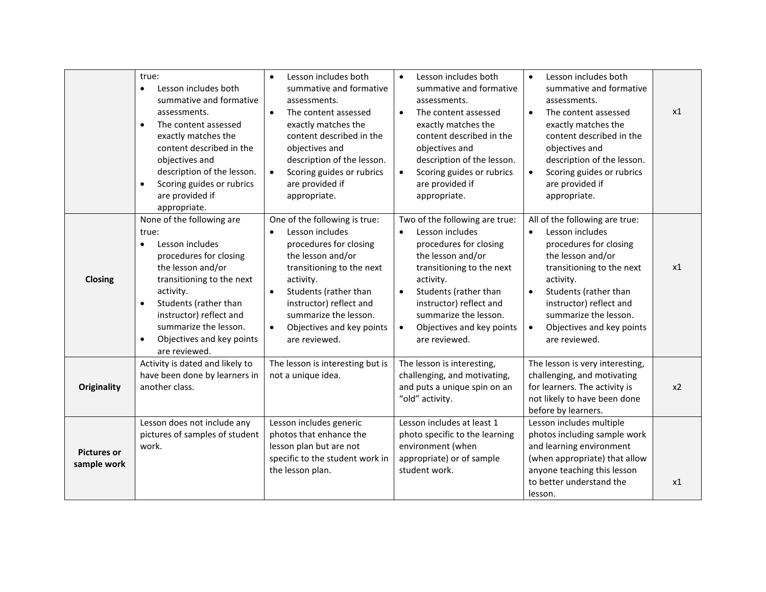|                                   | true:<br>Lesson includes both<br>$\bullet$<br>summative and formative<br>assessments.<br>The content assessed<br>$\bullet$<br>exactly matches the<br>content described in the<br>objectives and<br>description of the lesson.<br>Scoring guides or rubrics<br>$\bullet$<br>are provided if<br>appropriate.<br>None of the following are | Lesson includes both<br>$\bullet$<br>summative and formative<br>assessments.<br>$\bullet$<br>The content assessed<br>exactly matches the<br>content described in the<br>objectives and<br>description of the lesson.<br>Scoring guides or rubrics<br>$\bullet$<br>are provided if<br>appropriate.<br>One of the following is true: | Lesson includes both<br>$\bullet$<br>summative and formative<br>assessments.<br>The content assessed<br>$\bullet$<br>exactly matches the<br>content described in the<br>objectives and<br>description of the lesson.<br>Scoring guides or rubrics<br>$\bullet$<br>are provided if<br>appropriate.<br>Two of the following are true: | Lesson includes both<br>summative and formative<br>assessments.<br>$\bullet$<br>The content assessed<br>exactly matches the<br>content described in the<br>objectives and<br>description of the lesson.<br>Scoring guides or rubrics<br>are provided if<br>appropriate.<br>All of the following are true: | x1    |
|-----------------------------------|-----------------------------------------------------------------------------------------------------------------------------------------------------------------------------------------------------------------------------------------------------------------------------------------------------------------------------------------|------------------------------------------------------------------------------------------------------------------------------------------------------------------------------------------------------------------------------------------------------------------------------------------------------------------------------------|-------------------------------------------------------------------------------------------------------------------------------------------------------------------------------------------------------------------------------------------------------------------------------------------------------------------------------------|-----------------------------------------------------------------------------------------------------------------------------------------------------------------------------------------------------------------------------------------------------------------------------------------------------------|-------|
| Closing                           | true:<br>Lesson includes<br>$\bullet$<br>procedures for closing<br>the lesson and/or<br>transitioning to the next<br>activity.<br>Students (rather than<br>instructor) reflect and<br>summarize the lesson.<br>Objectives and key points<br>are reviewed.                                                                               | Lesson includes<br>$\bullet$<br>procedures for closing<br>the lesson and/or<br>transitioning to the next<br>activity.<br>Students (rather than<br>$\bullet$<br>instructor) reflect and<br>summarize the lesson.<br>Objectives and key points<br>$\bullet$<br>are reviewed.                                                         | Lesson includes<br>$\bullet$<br>procedures for closing<br>the lesson and/or<br>transitioning to the next<br>activity.<br>Students (rather than<br>$\bullet$<br>instructor) reflect and<br>summarize the lesson.<br>Objectives and key points<br>are reviewed.                                                                       | Lesson includes<br>$\bullet$<br>procedures for closing<br>the lesson and/or<br>transitioning to the next<br>activity.<br>Students (rather than<br>$\bullet$<br>instructor) reflect and<br>summarize the lesson.<br>Objectives and key points<br>$\bullet$<br>are reviewed.                                | x1    |
| <b>Originality</b>                | Activity is dated and likely to<br>have been done by learners in<br>another class.                                                                                                                                                                                                                                                      | The lesson is interesting but is<br>not a unique idea.                                                                                                                                                                                                                                                                             | The lesson is interesting,<br>challenging, and motivating,<br>and puts a unique spin on an<br>"old" activity.                                                                                                                                                                                                                       | The lesson is very interesting,<br>challenging, and motivating<br>for learners. The activity is<br>not likely to have been done<br>before by learners.                                                                                                                                                    | $x^2$ |
| <b>Pictures or</b><br>sample work | Lesson does not include any<br>pictures of samples of student<br>work.                                                                                                                                                                                                                                                                  | Lesson includes generic<br>photos that enhance the<br>lesson plan but are not<br>specific to the student work in<br>the lesson plan.                                                                                                                                                                                               | Lesson includes at least 1<br>photo specific to the learning<br>environment (when<br>appropriate) or of sample<br>student work.                                                                                                                                                                                                     | Lesson includes multiple<br>photos including sample work<br>and learning environment<br>(when appropriate) that allow<br>anyone teaching this lesson<br>to better understand the<br>lesson.                                                                                                               | x1    |